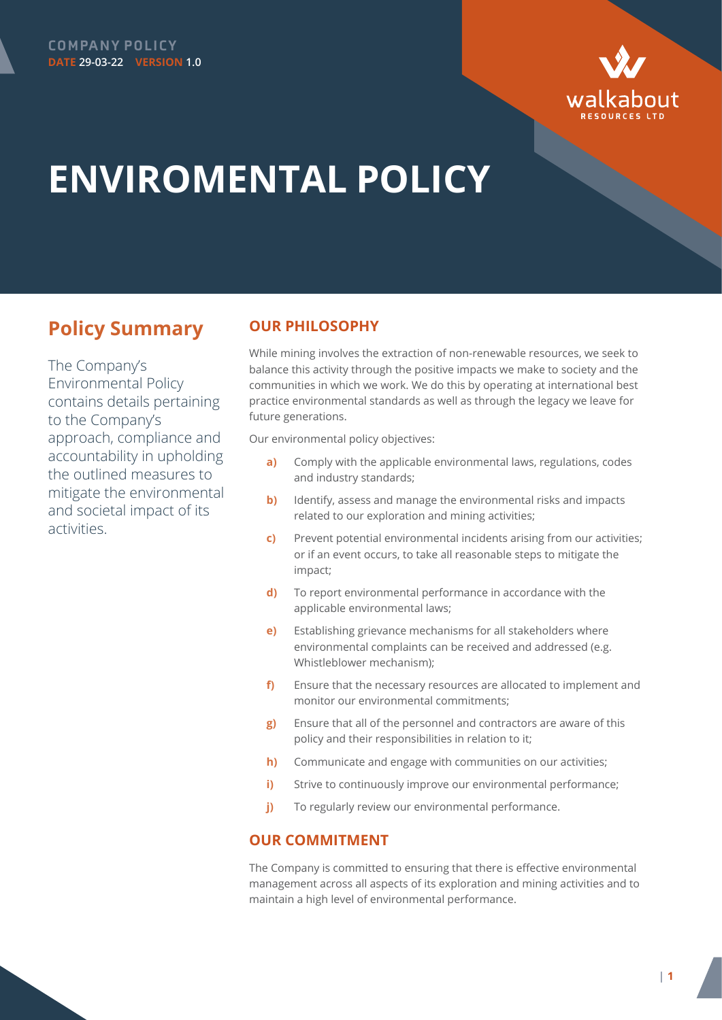



## **ENVIROMENTAL POLICY**

## **Policy Summary**

The Company's Environmental Policy contains details pertaining to the Company's approach, compliance and accountability in upholding the outlined measures to mitigate the environmental and societal impact of its activities.

## **OUR PHILOSOPHY**

While mining involves the extraction of non-renewable resources, we seek to balance this activity through the positive impacts we make to society and the communities in which we work. We do this by operating at international best practice environmental standards as well as through the legacy we leave for future generations.

Our environmental policy objectives:

- **a)** Comply with the applicable environmental laws, regulations, codes and industry standards;
- **b)** Identify, assess and manage the environmental risks and impacts related to our exploration and mining activities;
- **c)** Prevent potential environmental incidents arising from our activities; or if an event occurs, to take all reasonable steps to mitigate the impact;
- **d)** To report environmental performance in accordance with the applicable environmental laws;
- **e)** Establishing grievance mechanisms for all stakeholders where environmental complaints can be received and addressed (e.g. Whistleblower mechanism);
- **f)** Ensure that the necessary resources are allocated to implement and monitor our environmental commitments;
- **g)** Ensure that all of the personnel and contractors are aware of this policy and their responsibilities in relation to it;
- **h)** Communicate and engage with communities on our activities;
- **i)** Strive to continuously improve our environmental performance;
- **j)** To regularly review our environmental performance.

## **OUR COMMITMENT**

The Company is committed to ensuring that there is effective environmental management across all aspects of its exploration and mining activities and to maintain a high level of environmental performance.